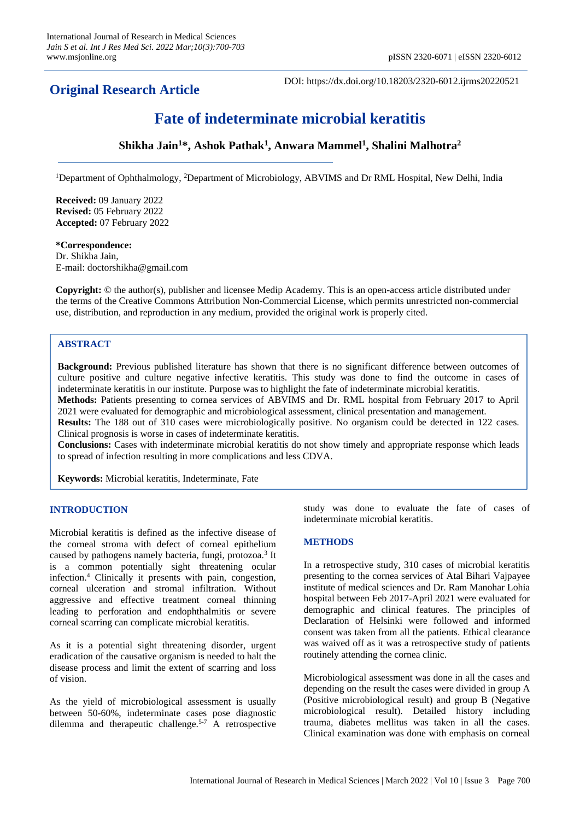## **Original Research Article**

DOI: https://dx.doi.org/10.18203/2320-6012.ijrms20220521

# **Fate of indeterminate microbial keratitis**

### **Shikha Jain<sup>1</sup>\*, Ashok Pathak<sup>1</sup> , Anwara Mammel<sup>1</sup> , Shalini Malhotra<sup>2</sup>**

<sup>1</sup>Department of Ophthalmology, <sup>2</sup>Department of Microbiology, ABVIMS and Dr RML Hospital, New Delhi, India

**Received:** 09 January 2022 **Revised:** 05 February 2022 **Accepted:** 07 February 2022

#### **\*Correspondence:** Dr. Shikha Jain, E-mail: doctorshikha@gmail.com

**Copyright:** © the author(s), publisher and licensee Medip Academy. This is an open-access article distributed under the terms of the Creative Commons Attribution Non-Commercial License, which permits unrestricted non-commercial use, distribution, and reproduction in any medium, provided the original work is properly cited.

#### **ABSTRACT**

**Background:** Previous published literature has shown that there is no significant difference between outcomes of culture positive and culture negative infective keratitis. This study was done to find the outcome in cases of indeterminate keratitis in our institute. Purpose was to highlight the fate of indeterminate microbial keratitis. **Methods:** Patients presenting to cornea services of ABVIMS and Dr. RML hospital from February 2017 to April 2021 were evaluated for demographic and microbiological assessment, clinical presentation and management.

**Results:** The 188 out of 310 cases were microbiologically positive. No organism could be detected in 122 cases. Clinical prognosis is worse in cases of indeterminate keratitis.

**Conclusions:** Cases with indeterminate microbial keratitis do not show timely and appropriate response which leads to spread of infection resulting in more complications and less CDVA.

**Keywords:** Microbial keratitis, Indeterminate, Fate

#### **INTRODUCTION**

Microbial keratitis is defined as the infective disease of the corneal stroma with defect of corneal epithelium caused by pathogens namely bacteria, fungi, protozoa.<sup>3</sup> It is a common potentially sight threatening ocular infection.<sup>4</sup> Clinically it presents with pain, congestion, corneal ulceration and stromal infiltration. Without aggressive and effective treatment corneal thinning leading to perforation and endophthalmitis or severe corneal scarring can complicate microbial keratitis.

As it is a potential sight threatening disorder, urgent eradication of the causative organism is needed to halt the disease process and limit the extent of scarring and loss of vision.

As the yield of microbiological assessment is usually between 50-60%, indeterminate cases pose diagnostic dilemma and therapeutic challenge.5-7 A retrospective study was done to evaluate the fate of cases of indeterminate microbial keratitis.

#### **METHODS**

In a retrospective study, 310 cases of microbial keratitis presenting to the cornea services of Atal Bihari Vajpayee institute of medical sciences and Dr. Ram Manohar Lohia hospital between Feb 2017-April 2021 were evaluated for demographic and clinical features. The principles of Declaration of Helsinki were followed and informed consent was taken from all the patients. Ethical clearance was waived off as it was a retrospective study of patients routinely attending the cornea clinic.

Microbiological assessment was done in all the cases and depending on the result the cases were divided in group A (Positive microbiological result) and group B (Negative microbiological result). Detailed history including trauma, diabetes mellitus was taken in all the cases. Clinical examination was done with emphasis on corneal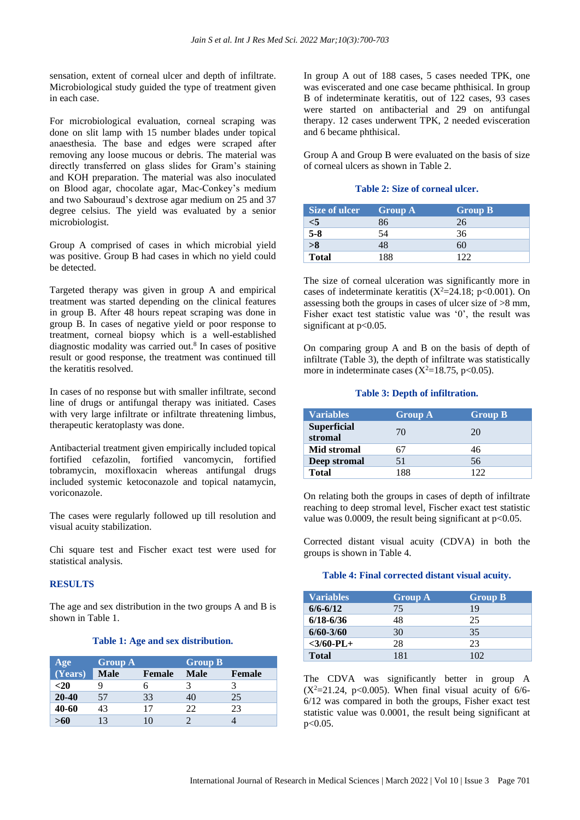sensation, extent of corneal ulcer and depth of infiltrate. Microbiological study guided the type of treatment given in each case.

For microbiological evaluation, corneal scraping was done on slit lamp with 15 number blades under topical anaesthesia. The base and edges were scraped after removing any loose mucous or debris. The material was directly transferred on glass slides for Gram's staining and KOH preparation. The material was also inoculated on Blood agar, chocolate agar, Mac-Conkey's medium and two Sabouraud's dextrose agar medium on 25 and 37 degree celsius. The yield was evaluated by a senior microbiologist.

Group A comprised of cases in which microbial yield was positive. Group B had cases in which no yield could be detected.

Targeted therapy was given in group A and empirical treatment was started depending on the clinical features in group B. After 48 hours repeat scraping was done in group B. In cases of negative yield or poor response to treatment, corneal biopsy which is a well-established diagnostic modality was carried out.<sup>8</sup> In cases of positive result or good response, the treatment was continued till the keratitis resolved.

In cases of no response but with smaller infiltrate, second line of drugs or antifungal therapy was initiated. Cases with very large infiltrate or infiltrate threatening limbus, therapeutic keratoplasty was done.

Antibacterial treatment given empirically included topical fortified cefazolin, fortified vancomycin, fortified tobramycin, moxifloxacin whereas antifungal drugs included systemic ketoconazole and topical natamycin, voriconazole.

The cases were regularly followed up till resolution and visual acuity stabilization.

Chi square test and Fischer exact test were used for statistical analysis.

#### **RESULTS**

The age and sex distribution in the two groups A and B is shown in Table 1.

#### **Table 1: Age and sex distribution.**

| Age     | <b>Group A</b> |                | <b>Group B</b> |               |
|---------|----------------|----------------|----------------|---------------|
| (Years) | Male           | <b>Female</b>  | Male           | <b>Female</b> |
| $20$    |                |                |                |               |
| 20-40   | 57             | 33             | 40             | 25            |
| 40-60   | 43             | 17             | 22             | 23            |
| >60     |                | $\overline{1}$ |                |               |

In group A out of 188 cases, 5 cases needed TPK, one was eviscerated and one case became phthisical. In group B of indeterminate keratitis, out of 122 cases, 93 cases were started on antibacterial and 29 on antifungal therapy. 12 cases underwent TPK, 2 needed evisceration and 6 became phthisical.

Group A and Group B were evaluated on the basis of size of corneal ulcers as shown in Table 2.

#### **Table 2: Size of corneal ulcer.**

| Size of ulcer | <b>Group A</b> | <b>Group B</b> |
|---------------|----------------|----------------|
| <5            | 86             | 26             |
| $5-8$         | 54             | 36             |
| >8            | 48             | 60             |
| <b>Total</b>  | 88             |                |

The size of corneal ulceration was significantly more in cases of indeterminate keratitis  $(X^2=24.18; p<0.001)$ . On assessing both the groups in cases of ulcer size of >8 mm, Fisher exact test statistic value was '0', the result was significant at p<0.05.

On comparing group A and B on the basis of depth of infiltrate (Table 3), the depth of infiltrate was statistically more in indeterminate cases  $(X^2=18.75, p<0.05)$ .

#### **Table 3: Depth of infiltration.**

| <b>Variables</b>              | <b>Group A</b> | <b>Group B</b> |
|-------------------------------|----------------|----------------|
| <b>Superficial</b><br>stromal | 70             | 20             |
| <b>Mid stromal</b>            | 67             | 46             |
| Deep stromal                  | 51             | 56             |
| Total                         | 188            | 122            |

On relating both the groups in cases of depth of infiltrate reaching to deep stromal level, Fischer exact test statistic value was 0.0009, the result being significant at  $p<0.05$ .

Corrected distant visual acuity (CDVA) in both the groups is shown in Table 4.

#### **Table 4: Final corrected distant visual acuity.**

| <b>Variables</b> | <b>Group A</b> | <b>Group B</b> |
|------------------|----------------|----------------|
| $6/6 - 6/12$     | 75             | 19             |
| $6/18 - 6/36$    | 48             | 25             |
| $6/60 - 3/60$    | 30             | 35             |
| $<$ 3/60-PL+     | 28             | 23             |
| <b>Total</b>     | 181            | 102            |

The CDVA was significantly better in group A  $(X^2=21.24, p<0.005)$ . When final visual acuity of 6/6-6/12 was compared in both the groups, Fisher exact test statistic value was 0.0001, the result being significant at p<0.05.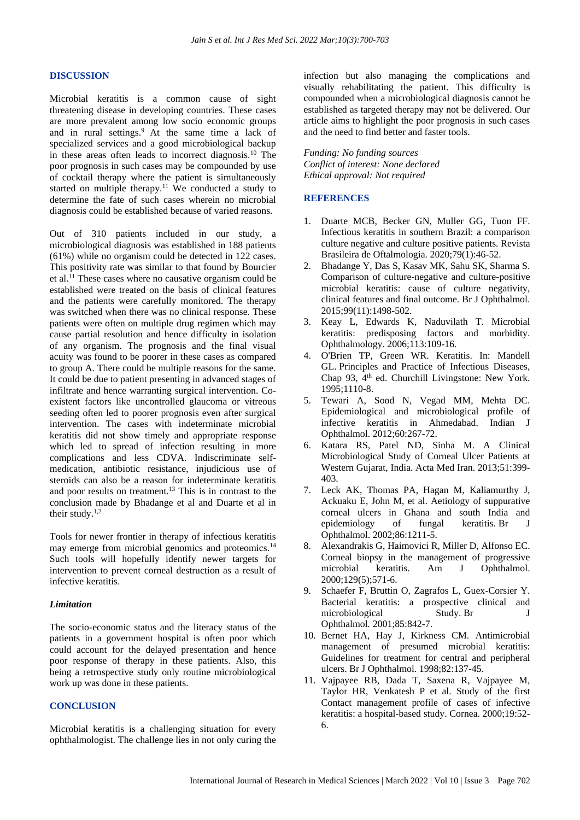#### **DISCUSSION**

Microbial keratitis is a common cause of sight threatening disease in developing countries. These cases are more prevalent among low socio economic groups and in rural settings.<sup>9</sup> At the same time a lack of specialized services and a good microbiological backup in these areas often leads to incorrect diagnosis.<sup>10</sup> The poor prognosis in such cases may be compounded by use of cocktail therapy where the patient is simultaneously started on multiple therapy.<sup>11</sup> We conducted a study to determine the fate of such cases wherein no microbial diagnosis could be established because of varied reasons.

Out of 310 patients included in our study, a microbiological diagnosis was established in 188 patients (61%) while no organism could be detected in 122 cases. This positivity rate was similar to that found by Bourcier et al.<sup>11</sup> These cases where no causative organism could be established were treated on the basis of clinical features and the patients were carefully monitored. The therapy was switched when there was no clinical response. These patients were often on multiple drug regimen which may cause partial resolution and hence difficulty in isolation of any organism. The prognosis and the final visual acuity was found to be poorer in these cases as compared to group A. There could be multiple reasons for the same. It could be due to patient presenting in advanced stages of infiltrate and hence warranting surgical intervention. Coexistent factors like uncontrolled glaucoma or vitreous seeding often led to poorer prognosis even after surgical intervention. The cases with indeterminate microbial keratitis did not show timely and appropriate response which led to spread of infection resulting in more complications and less CDVA. Indiscriminate selfmedication, antibiotic resistance, injudicious use of steroids can also be a reason for indeterminate keratitis and poor results on treatment.<sup>13</sup> This is in contrast to the conclusion made by Bhadange et al and Duarte et al in their study. $1,2$ 

Tools for newer frontier in therapy of infectious keratitis may emerge from microbial genomics and proteomics.<sup>14</sup> Such tools will hopefully identify newer targets for intervention to prevent corneal destruction as a result of infective keratitis.

#### *Limitation*

The socio-economic status and the literacy status of the patients in a government hospital is often poor which could account for the delayed presentation and hence poor response of therapy in these patients. Also, this being a retrospective study only routine microbiological work up was done in these patients.

#### **CONCLUSION**

Microbial keratitis is a challenging situation for every ophthalmologist. The challenge lies in not only curing the infection but also managing the complications and visually rehabilitating the patient. This difficulty is compounded when a microbiological diagnosis cannot be established as targeted therapy may not be delivered. Our article aims to highlight the poor prognosis in such cases and the need to find better and faster tools.

*Funding: No funding sources Conflict of interest: None declared Ethical approval: Not required*

#### **REFERENCES**

- 1. Duarte MCB, Becker GN, Muller GG, Tuon FF. Infectious keratitis in southern Brazil: a comparison culture negative and culture positive patients. Revista Brasileira de Oftalmologia. 2020;79(1):46-52.
- 2. Bhadange Y, Das S, Kasav MK, Sahu SK, Sharma S. Comparison of culture-negative and culture-positive microbial keratitis: cause of culture negativity, clinical features and final outcome. Br J Ophthalmol. 2015;99(11):1498-502.
- 3. Keay L, Edwards K, Naduvilath T. Microbial keratitis: predisposing factors and morbidity. Ophthalmology. 2006;113:109-16.
- 4. O'Brien TP, Green WR. Keratitis. In: Mandell GL. Principles and Practice of Infectious Diseases, Chap 93, 4<sup>th</sup> ed. Churchill Livingstone: New York. 1995;1110-8.
- 5. Tewari A, Sood N, Vegad MM, Mehta DC. Epidemiological and microbiological profile of infective keratitis in Ahmedabad. Indian J Ophthalmol. 2012;60:267-72.
- 6. Katara RS, Patel ND, Sinha M. A Clinical Microbiological Study of Corneal Ulcer Patients at Western Gujarat, India. Acta Med Iran. 2013;51:399- 403.
- 7. Leck AK, Thomas PA, Hagan M, Kaliamurthy J, Ackuaku E, John M, et al. Aetiology of suppurative corneal ulcers in Ghana and south India and epidemiology of fungal keratitis. Br J Ophthalmol. 2002;86:1211-5.
- 8. Alexandrakis G, Haimovici R, Miller D, Alfonso EC. Corneal biopsy in the management of progressive microbial keratitis. Am J Ophthalmol. 2000;129(5);571-6.
- 9. Schaefer F, Bruttin O, Zagrafos L, Guex-Corsier Y. Bacterial keratitis: a prospective clinical and microbiological Study. Br J Ophthalmol*.* 2001;85:842-7.
- 10. Bernet HA, Hay J, Kirkness CM. Antimicrobial management of presumed microbial keratitis: Guidelines for treatment for central and peripheral ulcers. Br J Ophthalmol*.* 1998;82:137-45.
- 11. Vajpayee RB, Dada T, Saxena R, Vajpayee M, Taylor HR, Venkatesh P et al. Study of the first Contact management profile of cases of infective keratitis: a hospital-based study. Cornea*.* 2000;19:52- 6.